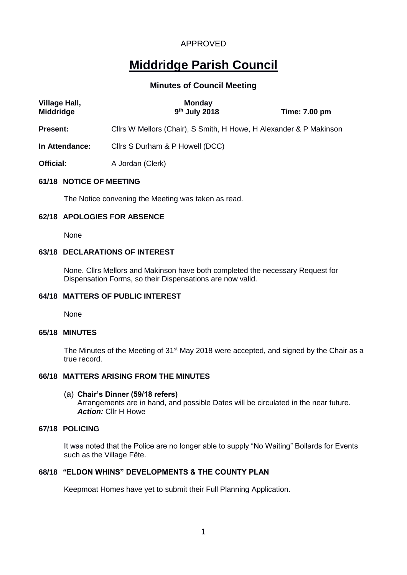# **Middridge Parish Council**

# **Minutes of Council Meeting**

| Village Hall,<br><b>Middridge</b> | <b>Monday</b><br>9 <sup>th</sup> July 2018                         | <b>Time: 7.00 pm</b> |  |
|-----------------------------------|--------------------------------------------------------------------|----------------------|--|
| <b>Present:</b>                   | Cllrs W Mellors (Chair), S Smith, H Howe, H Alexander & P Makinson |                      |  |
| In Attendance:                    | Clirs S Durham & P Howell (DCC)                                    |                      |  |
| Official:                         | A Jordan (Clerk)                                                   |                      |  |
|                                   |                                                                    |                      |  |

## **61/18 NOTICE OF MEETING**

The Notice convening the Meeting was taken as read.

## **62/18 APOLOGIES FOR ABSENCE**

None

# **63/18 DECLARATIONS OF INTEREST**

None. Cllrs Mellors and Makinson have both completed the necessary Request for Dispensation Forms, so their Dispensations are now valid.

# **64/18 MATTERS OF PUBLIC INTEREST**

None

# **65/18 MINUTES**

The Minutes of the Meeting of 31<sup>st</sup> May 2018 were accepted, and signed by the Chair as a true record.

#### **66/18 MATTERS ARISING FROM THE MINUTES**

#### (a) **Chair's Dinner (59/18 refers)**

Arrangements are in hand, and possible Dates will be circulated in the near future. *Action:* Cllr H Howe

# **67/18 POLICING**

It was noted that the Police are no longer able to supply "No Waiting" Bollards for Events such as the Village Fête.

# **68/18 "ELDON WHINS" DEVELOPMENTS & THE COUNTY PLAN**

Keepmoat Homes have yet to submit their Full Planning Application.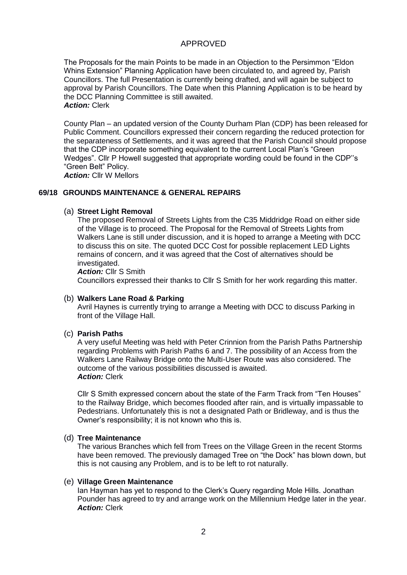The Proposals for the main Points to be made in an Objection to the Persimmon "Eldon Whins Extension" Planning Application have been circulated to, and agreed by, Parish Councillors. The full Presentation is currently being drafted, and will again be subject to approval by Parish Councillors. The Date when this Planning Application is to be heard by the DCC Planning Committee is still awaited. *Action:* Clerk

County Plan – an updated version of the County Durham Plan (CDP) has been released for Public Comment. Councillors expressed their concern regarding the reduced protection for the separateness of Settlements, and it was agreed that the Parish Council should propose that the CDP incorporate something equivalent to the current Local Plan's "Green Wedges". Cllr P Howell suggested that appropriate wording could be found in the CDP''s "Green Belt" Policy.

*Action:* Cllr W Mellors

## **69/18 GROUNDS MAINTENANCE & GENERAL REPAIRS**

#### (a) **Street Light Removal**

The proposed Removal of Streets Lights from the C35 Middridge Road on either side of the Village is to proceed. The Proposal for the Removal of Streets Lights from Walkers Lane is still under discussion, and it is hoped to arrange a Meeting with DCC to discuss this on site. The quoted DCC Cost for possible replacement LED Lights remains of concern, and it was agreed that the Cost of alternatives should be investigated.

*Action:* Cllr S Smith

Councillors expressed their thanks to Cllr S Smith for her work regarding this matter.

#### (b) **Walkers Lane Road & Parking**

Avril Haynes is currently trying to arrange a Meeting with DCC to discuss Parking in front of the Village Hall.

#### (c) **Parish Paths**

A very useful Meeting was held with Peter Crinnion from the Parish Paths Partnership regarding Problems with Parish Paths 6 and 7. The possibility of an Access from the Walkers Lane Railway Bridge onto the Multi-User Route was also considered. The outcome of the various possibilities discussed is awaited. *Action:* Clerk

Cllr S Smith expressed concern about the state of the Farm Track from "Ten Houses" to the Railway Bridge, which becomes flooded after rain, and is virtually impassable to Pedestrians. Unfortunately this is not a designated Path or Bridleway, and is thus the Owner's responsibility; it is not known who this is.

#### (d) **Tree Maintenance**

The various Branches which fell from Trees on the Village Green in the recent Storms have been removed. The previously damaged Tree on "the Dock" has blown down, but this is not causing any Problem, and is to be left to rot naturally.

#### (e) **Village Green Maintenance**

Ian Hayman has yet to respond to the Clerk's Query regarding Mole Hills. Jonathan Pounder has agreed to try and arrange work on the Millennium Hedge later in the year. *Action:* Clerk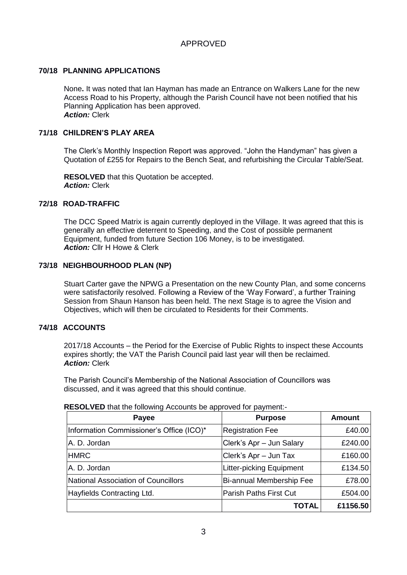# **70/18 PLANNING APPLICATIONS**

None**.** It was noted that Ian Hayman has made an Entrance on Walkers Lane for the new Access Road to his Property, although the Parish Council have not been notified that his Planning Application has been approved. *Action:* Clerk

## **71/18 CHILDREN'S PLAY AREA**

The Clerk's Monthly Inspection Report was approved. "John the Handyman" has given a Quotation of £255 for Repairs to the Bench Seat, and refurbishing the Circular Table/Seat.

**RESOLVED** that this Quotation be accepted. *Action:* Clerk

#### **72/18 ROAD-TRAFFIC**

The DCC Speed Matrix is again currently deployed in the Village. It was agreed that this is generally an effective deterrent to Speeding, and the Cost of possible permanent Equipment, funded from future Section 106 Money, is to be investigated. *Action:* Cllr H Howe & Clerk

# **73/18 NEIGHBOURHOOD PLAN (NP)**

Stuart Carter gave the NPWG a Presentation on the new County Plan, and some concerns were satisfactorily resolved. Following a Review of the 'Way Forward', a further Training Session from Shaun Hanson has been held. The next Stage is to agree the Vision and Objectives, which will then be circulated to Residents for their Comments.

# **74/18 ACCOUNTS**

2017/18 Accounts – the Period for the Exercise of Public Rights to inspect these Accounts expires shortly; the VAT the Parish Council paid last year will then be reclaimed. *Action:* Clerk

The Parish Council's Membership of the National Association of Councillors was discussed, and it was agreed that this should continue.

| Payee                                      | <b>Purpose</b>                | <b>Amount</b> |
|--------------------------------------------|-------------------------------|---------------|
| Information Commissioner's Office (ICO)*   | <b>Registration Fee</b>       | £40.00        |
| A. D. Jordan                               | Clerk's Apr - Jun Salary      | £240.00       |
| <b>HMRC</b>                                | Clerk's Apr - Jun Tax         | £160.00       |
| A. D. Jordan                               | Litter-picking Equipment      | £134.50       |
| <b>National Association of Councillors</b> | Bi-annual Membership Fee      | £78.00        |
| Hayfields Contracting Ltd.                 | <b>Parish Paths First Cut</b> | £504.00       |
|                                            | TOTAL                         | £1156.50      |

#### **RESOLVED** that the following Accounts be approved for payment:-